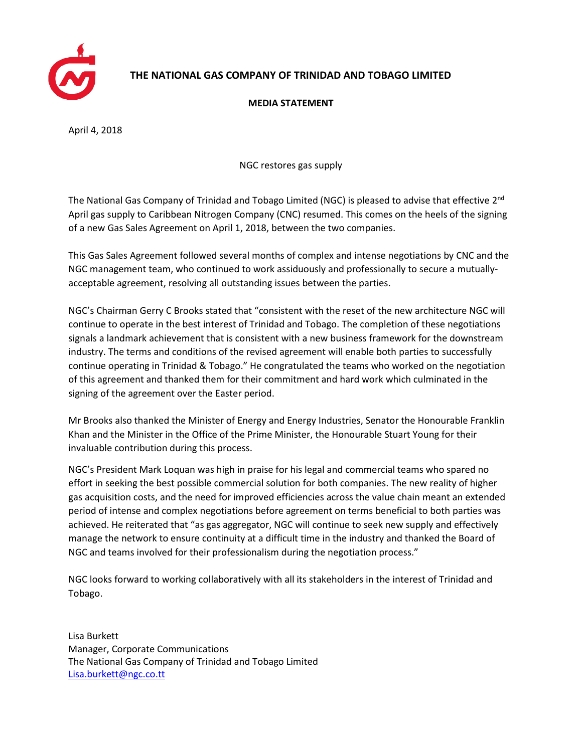

## **THE NATIONAL GAS COMPANY OF TRINIDAD AND TOBAGO LIMITED**

## **MEDIA STATEMENT**

April 4, 2018

NGC restores gas supply

The National Gas Company of Trinidad and Tobago Limited (NGC) is pleased to advise that effective 2<sup>nd</sup> April gas supply to Caribbean Nitrogen Company (CNC) resumed. This comes on the heels of the signing of a new Gas Sales Agreement on April 1, 2018, between the two companies.

This Gas Sales Agreement followed several months of complex and intense negotiations by CNC and the NGC management team, who continued to work assiduously and professionally to secure a mutuallyacceptable agreement, resolving all outstanding issues between the parties.

NGC's Chairman Gerry C Brooks stated that "consistent with the reset of the new architecture NGC will continue to operate in the best interest of Trinidad and Tobago. The completion of these negotiations signals a landmark achievement that is consistent with a new business framework for the downstream industry. The terms and conditions of the revised agreement will enable both parties to successfully continue operating in Trinidad & Tobago." He congratulated the teams who worked on the negotiation of this agreement and thanked them for their commitment and hard work which culminated in the signing of the agreement over the Easter period.

Mr Brooks also thanked the Minister of Energy and Energy Industries, Senator the Honourable Franklin Khan and the Minister in the Office of the Prime Minister, the Honourable Stuart Young for their invaluable contribution during this process.

NGC's President Mark Loquan was high in praise for his legal and commercial teams who spared no effort in seeking the best possible commercial solution for both companies. The new reality of higher gas acquisition costs, and the need for improved efficiencies across the value chain meant an extended period of intense and complex negotiations before agreement on terms beneficial to both parties was achieved. He reiterated that "as gas aggregator, NGC will continue to seek new supply and effectively manage the network to ensure continuity at a difficult time in the industry and thanked the Board of NGC and teams involved for their professionalism during the negotiation process."

NGC looks forward to working collaboratively with all its stakeholders in the interest of Trinidad and Tobago.

Lisa Burkett Manager, Corporate Communications The National Gas Company of Trinidad and Tobago Limited [Lisa.burkett@ngc.co.tt](mailto:Lisa.burkett@ngc.co.tt)